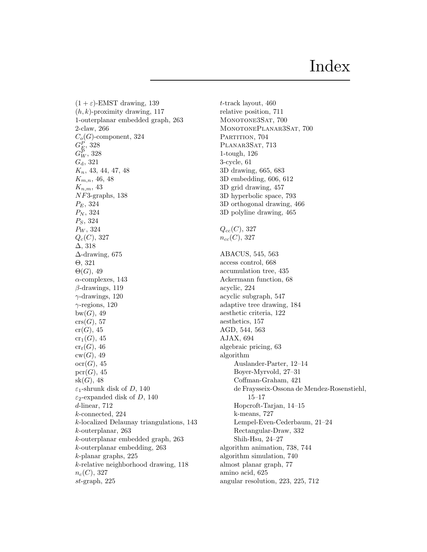$(1 + \varepsilon)$ -EMST drawing, 139  $(h, k)$ -proximity drawing, 117 1-outerplanar embedded graph, 263 2-claw, 266  $C_o(G)$ -component, 324  $G_E^P$ , 328  $G_{W}^P,\,328$  $G_{d}$ , 321  $K_n$ , 43, 44, 47, 48  $K_{m,n}$ , 46, 48  $K_{n,m}$ , 43 NF3-graphs, 138  $P_E$ , 324  $P_N$ , 324 PS, 324  $P_W$ , 324  $Q_c(C)$ , 327 ∆, 318 ∆-drawing, 675 Θ, 321  $\Theta(G)$ , 49  $\alpha$ -complexes, 143  $\beta$ -drawings, 119  $\gamma$ -drawings, 120  $\gamma$ -regions, 120  $bw(G), 49$  $\mathrm{crs}(G), 57$  $cr(G), 45$  $cr_1(G)$ , 45  $\operatorname{cr}_t(G)$ , 46  $cw(G), 49$  $ocr(G)$ , 45  $\mathrm{pcr}(G)$ , 45  $sk(G)$ , 48  $\varepsilon_1$ -shrunk disk of D, 140  $\varepsilon_2$ -expanded disk of D, 140 d-linear, 712 k-connected, 224 k-localized Delaunay triangulations, 143 k-outerplanar, 263 k-outerplanar embedded graph, 263 k-outerplanar embedding, 263 k-planar graphs, 225 k-relative neighborhood drawing, 118  $n_c(C)$ , 327  $st$ -graph, 225

t-track layout, 460 relative position, 711 MONOTONE3SAT, 700 MONOTONEPLANAR3SAT, 700 PARTITION, 704 PLANAR3SAT, 713 1-tough, 126 3-cycle, 61 3D drawing, 665, 683 3D embedding, 606, 612 3D grid drawing, 457 3D hyperbolic space, 793 3D orthogonal drawing, 466 3D polyline drawing, 465  $Q_{cc}(C)$ , 327  $n_{cc}(C)$ , 327 ABACUS, 545, 563 access control, 668 accumulation tree, 435 Ackermann function, 68 acyclic, 224 acyclic subgraph, 547 adaptive tree drawing, 184 aesthetic criteria, 122 aesthetics, 157 AGD, 544, 563 AJAX, 694 algebraic pricing, 63 algorithm Auslander-Parter, 12–14 Boyer-Myrvold, 27–31 Coffman-Graham, 421 de Fraysseix-Ossona de Mendez-Rosenstiehl, 15–17 Hopcroft-Tarjan, 14–15 k-means, 727 Lempel-Even-Cederbaum, 21–24 Rectangular-Draw, 332 Shih-Hsu, 24–27 algorithm animation, 738, 744 algorithm simulation, 740 almost planar graph, 77 amino acid, 625 angular resolution, 223, 225, 712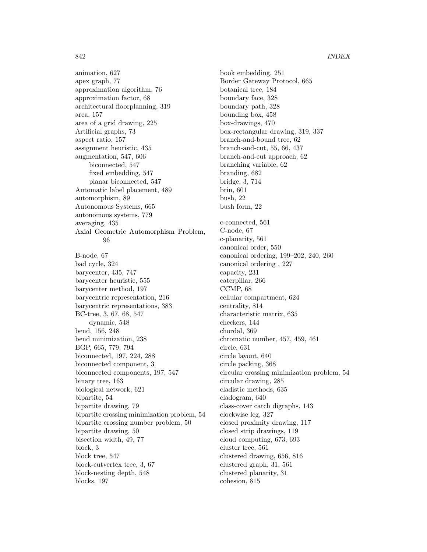animation, 627 apex graph, 77 approximation algorithm, 76 approximation factor, 68 architectural floorplanning, 319 area, 157 area of a grid drawing, 225 Artificial graphs, 73 aspect ratio, 157 assignment heuristic, 435 augmentation, 547, 606 biconnected, 547 fixed embedding, 547 planar biconnected, 547 Automatic label placement, 489 automorphism, 89 Autonomous Systems, 665 autonomous systems, 779 averaging, 435 Axial Geometric Automorphism Problem, 96

B-node, 67 bad cycle, 324 barycenter, 435, 747 barycenter heuristic, 555 barycenter method, 197 barycentric representation, 216 barycentric representations, 383 BC-tree, 3, 67, 68, 547 dynamic, 548 bend, 156, 248 bend minimization, 238 BGP, 665, 779, 794 biconnected, 197, 224, 288 biconnected component, 3 biconnected components, 197, 547 binary tree, 163 biological network, 621 bipartite, 54 bipartite drawing, 79 bipartite crossing minimization problem, 54 bipartite crossing number problem, 50 bipartite drawing, 50 bisection width, 49, 77 block, 3 block tree, 547 block-cutvertex tree, 3, 67 block-nesting depth, 548 blocks, 197

book embedding, 251 Border Gateway Protocol, 665 botanical tree, 184 boundary face, 328 boundary path, 328 bounding box, 458 box-drawings, 470 box-rectangular drawing, 319, 337 branch-and-bound tree, 62 branch-and-cut, 55, 66, 437 branch-and-cut approach, 62 branching variable, 62 branding, 682 bridge, 3, 714 brin, 601 bush, 22 bush form, 22 c-connected, 561 C-node, 67 c-planarity, 561 canonical order, 550 canonical ordering, 199–202, 240, 260 canonical ordering , 227 capacity, 231 caterpillar, 266 CCMP, 68 cellular compartment, 624 centrality, 814 characteristic matrix, 635 checkers, 144 chordal, 369 chromatic number, 457, 459, 461 circle, 631 circle layout, 640 circle packing, 368 circular crossing minimization problem, 54 circular drawing, 285 cladistic methods, 635 cladogram, 640 class-cover catch digraphs, 143 clockwise leg, 327 closed proximity drawing, 117 closed strip drawings, 119 cloud computing, 673, 693 cluster tree, 561 clustered drawing, 656, 816 clustered graph, 31, 561 clustered planarity, 31 cohesion, 815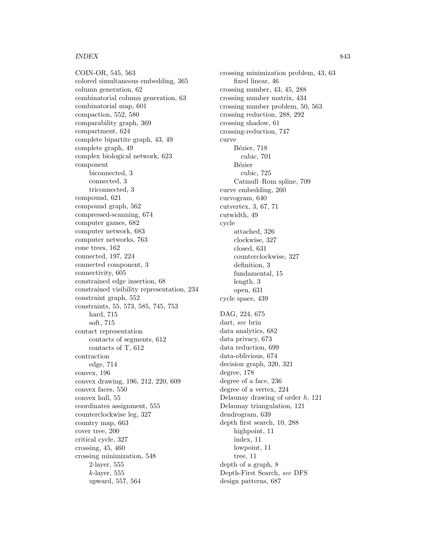COIN-OR, 545, 563 colored simultaneous embedding, 365 column generation, 62 combinatorial column generation, 63 combinatorial map, 601 compaction, 552, 580 comparability graph, 369 compartment, 624 complete bipartite graph, 43, 49 complete graph, 49 complex biological network, 623 component biconnected, 3 connected, 3 triconnected, 3 compound, 621 compound graph, 562 compressed-scanning, 674 computer games, 682 computer network, 683 computer networks, 763 cone trees, 162 connected, 197, 224 connected component, 3 connectivity, 605 constrained edge insertion, 68 constrained visibility representation, 234 constraint graph, 552 constraints, 55, 573, 585, 745, 753 hard, 715 soft, 715 contact representation contacts of segments, 612 contacts of T, 612 contraction edge, 714 convex, 196 convex drawing, 196, 212, 220, 609 convex faces, 550 convex hull, 55 coordinates assignment, 555 counterclockwise leg, 327 country map, 663 cover tree, 200 critical cycle, 327 crossing, 45, 460 crossing minimization, 548 2-layer, 555  $k$ -layer, 555 upward, 557, 564

crossing minimization problem, 43, 63 fixed linear, 46 crossing number, 43, 45, 288 crossing number matrix, 434 crossing number problem, 50, 563 crossing reduction, 288, 292 crossing shadow, 61 crossing-reduction, 747 curve Bézier, 718 cubic, 701 **Bézier** cubic, 725 Catmull–Rom spline, 709 curve embedding, 260 curvogram, 640 cutvertex, 3, 67, 71 cutwidth, 49 cycle attached, 326 clockwise, 327 closed, 631 counterclockwise, 327 definition, 3 fundamental, 15 length, 3 open, 631 cycle space, 439 DAG, 224, 675 dart, see brin data analytics, 682 data privacy, 673 data reduction, 699 data-oblivious, 674 decision graph, 320, 321 degree, 178 degree of a face, 236 degree of a vertex, 224 Delaunay drawing of order h, 121 Delaunay triangulation, 121 dendrogram, 639 depth first search, 10, 288 highpoint, 11 index, 11 lowpoint, 11 tree, 11 depth of a graph, 8 Depth-First Search, see DFS design patterns, 687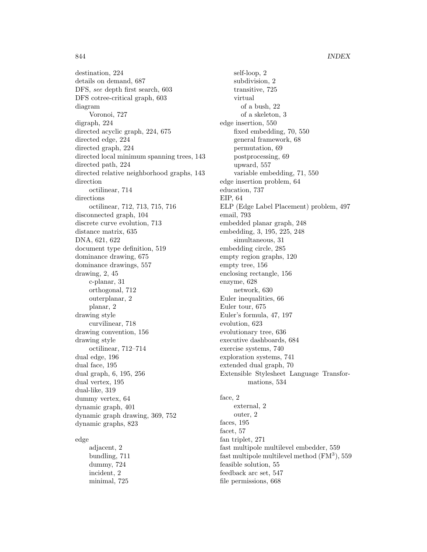destination, 224 details on demand, 687 DFS, see depth first search, 603 DFS cotree-critical graph, 603 diagram Voronoi, 727 digraph, 224 directed acyclic graph, 224, 675 directed edge, 224 directed graph, 224 directed local minimum spanning trees, 143 directed path, 224 directed relative neighborhood graphs, 143 direction octilinear, 714 directions octilinear, 712, 713, 715, 716 disconnected graph, 104 discrete curve evolution, 713 distance matrix, 635 DNA, 621, 622 document type definition, 519 dominance drawing, 675 dominance drawings, 557 drawing, 2, 45 c-planar, 31 orthogonal, 712 outerplanar, 2 planar, 2 drawing style curvilinear, 718 drawing convention, 156 drawing style octilinear, 712–714 dual edge, 196 dual face, 195 dual graph, 6, 195, 256 dual vertex, 195 dual-like, 319 dummy vertex, 64 dynamic graph, 401 dynamic graph drawing, 369, 752 dynamic graphs, 823

# edge

adjacent, 2 bundling, 711 dummy, 724 incident, 2 minimal, 725

self-loop, 2 subdivision, 2 transitive, 725 virtual of a bush, 22 of a skeleton, 3 edge insertion, 550 fixed embedding, 70, 550 general framework, 68 permutation, 69 postprocessing, 69 upward, 557 variable embedding, 71, 550 edge insertion problem, 64 education, 737 EIP, 64 ELP (Edge Label Placement) problem, 497 email, 793 embedded planar graph, 248 embedding, 3, 195, 225, 248 simultaneous, 31 embedding circle, 285 empty region graphs, 120 empty tree, 156 enclosing rectangle, 156 enzyme, 628 network, 630 Euler inequalities, 66 Euler tour, 675 Euler's formula, 47, 197 evolution, 623 evolutionary tree, 636 executive dashboards, 684 exercise systems, 740 exploration systems, 741 extended dual graph, 70 Extensible Stylesheet Language Transformations, 534

face, 2 external, 2 outer, 2 faces, 195 facet, 57 fan triplet, 271 fast multipole multilevel embedder, 559 fast multipole multilevel method  $(FM^3)$ , 559 feasible solution, 55 feedback arc set, 547 file permissions, 668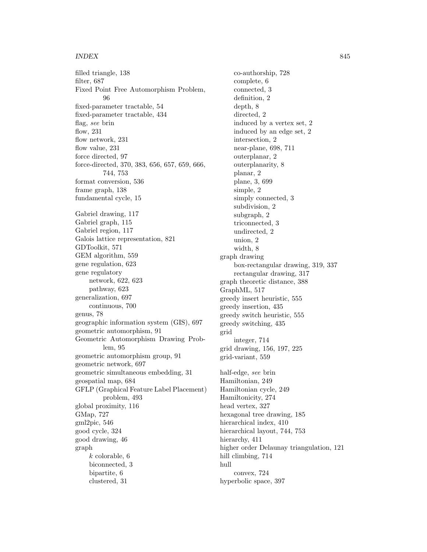filled triangle, 138 filter, 687 Fixed Point Free Automorphism Problem, 96 fixed-parameter tractable, 54 fixed-parameter tractable, 434 flag, see brin flow, 231 flow network, 231 flow value, 231 force directed, 97 force-directed, 370, 383, 656, 657, 659, 666, 744, 753 format conversion, 536 frame graph, 138 fundamental cycle, 15 Gabriel drawing, 117 Gabriel graph, 115 Gabriel region, 117 Galois lattice representation, 821 GDToolkit, 571 GEM algorithm, 559 gene regulation, 623 gene regulatory network, 622, 623 pathway, 623 generalization, 697 continuous, 700 genus, 78 geographic information system (GIS), 697 geometric automorphism, 91 Geometric Automorphism Drawing Problem, 95 geometric automorphism group, 91 geometric network, 697 geometric simultaneous embedding, 31 geospatial map, 684 GFLP (Graphical Feature Label Placement) problem, 493 global proximity, 116 GMap, 727 gml2pic, 546 good cycle, 324 good drawing, 46 graph  $k$  colorable,  $6$ biconnected, 3 bipartite, 6 clustered, 31

co-authorship, 728 complete, 6 connected, 3 definition, 2 depth, 8 directed, 2 induced by a vertex set, 2 induced by an edge set, 2 intersection, 2 near-plane, 698, 711 outerplanar, 2 outerplanarity, 8 planar, 2 plane, 3, 699 simple, 2 simply connected, 3 subdivision, 2 subgraph, 2 triconnected, 3 undirected, 2 union, 2 width, 8 graph drawing box-rectangular drawing, 319, 337 rectangular drawing, 317 graph theoretic distance, 388 GraphML, 517 greedy insert heuristic, 555 greedy insertion, 435 greedy switch heuristic, 555 greedy switching, 435 grid integer, 714 grid drawing, 156, 197, 225 grid-variant, 559 half-edge, see brin Hamiltonian, 249 Hamiltonian cycle, 249 Hamiltonicity, 274 head vertex, 327 hexagonal tree drawing, 185 hierarchical index, 410 hierarchical layout, 744, 753 hierarchy, 411 higher order Delaunay triangulation, 121 hill climbing,  $714$ hull convex, 724 hyperbolic space, 397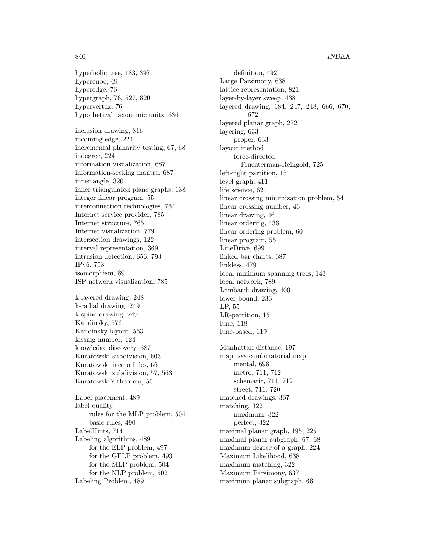hyperbolic tree, 183, 397 hypercube, 49 hyperedge, 76 hypergraph, 76, 527, 820 hypervertex, 76 hypothetical taxonomic units, 636

inclusion drawing, 816 incoming edge, 224 incremental planarity testing, 67, 68 indegree, 224 information visualization, 687 information-seeking mantra, 687 inner angle, 320 inner triangulated plane graphs, 138 integer linear program, 55 interconnection technologies, 764 Internet service provider, 785 Internet structure, 765 Internet visualization, 779 intersection drawings, 122 interval representation, 369 intrusion detection, 656, 793 IPv6, 793 isomorphism, 89 ISP network visualization, 785

k-layered drawing, 248 k-radial drawing, 249 k-spine drawing, 249 Kandinsky, 576 Kandinsky layout, 553 kissing number, 124 knowledge discovery, 687 Kuratowski subdivision, 603 Kuratowski inequalities, 66 Kuratowski subdivision, 57, 563 Kuratowski's theorem, 55

Label placement, 489 label quality rules for the MLP problem, 504 basic rules, 490 LabelHints, 714 Labeling algorithms, 489 for the ELP problem, 497 for the GFLP problem, 493 for the MLP problem, 504 for the NLP problem, 502 Labeling Problem, 489

definition, 492 Large Parsimony, 638 lattice representation, 821 layer-by-layer sweep, 438 layered drawing, 184, 247, 248, 666, 670, 672 layered planar graph, 272 layering, 633 proper, 633 layout method force-directed Fruchterman-Reingold, 725 left-right partition, 15 level graph, 411 life science, 621 linear crossing minimization problem, 54 linear crossing number, 46 linear drawing, 46 linear ordering, 436 linear ordering problem, 60 linear program, 55 LineDrive, 699 linked bar charts, 687 linkless, 479 local minimum spanning trees, 143 local network, 789 Lombardi drawing, 400 lower bound, 236 LP, 55 LR-partition, 15 lune, 118 lune-based, 119 Manhattan distance, 197 map, see combinatorial map mental, 698 metro, 711, 712 schematic, 711, 712 street, 711, 720 matched drawings, 367 matching, 322 maximum, 322 perfect, 322 maximal planar graph, 195, 225 maximal planar subgraph, 67, 68 maximum degree of a graph, 224 Maximum Likelihood, 638 maximum matching, 322 Maximum Parsimony, 637

maximum planar subgraph, 66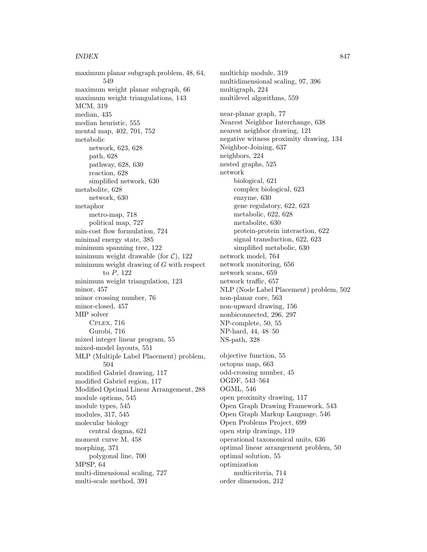maximum planar subgraph problem, 48, 64, 549 maximum weight planar subgraph, 66 maximum weight triangulations, 143 MCM, 319 median, 435 median heuristic, 555 mental map, 402, 701, 752 metabolic network, 623, 628 path, 628 pathway, 628, 630 reaction, 628 simplified network, 630 metabolite, 628 network, 630 metaphor metro-map, 718 political map, 727 min-cost flow formulation, 724 minimal energy state, 385 minimum spanning tree, 122 minimum weight drawable (for  $C$ ), 122 minimum weight drawing of G with respect to P, 122 minimum weight triangulation, 123 minor, 457 minor crossing number, 76 minor-closed, 457 MIP solver Cplex, 716 Gurobi, 716 mixed integer linear program, 55 mixed-model layouts, 551 MLP (Multiple Label Placement) problem, 504 modified Gabriel drawing, 117 modified Gabriel region, 117 Modified Optimal Linear Arrangement, 288 module options, 545 module types, 545 modules, 317, 545 molecular biology central dogma, 621 moment curve M, 458 morphing, 371 polygonal line, 700 MPSP, 64 multi-dimensional scaling, 727 multi-scale method, 391

multichip module, 319 multidimensional scaling, 97, 396 multigraph, 224 multilevel algorithms, 559 near-planar graph, 77 Nearest Neighbor Interchange, 638 nearest neighbor drawing, 121 negative witness proximity drawing, 134 Neighbor-Joining, 637 neighbors, 224 nested graphs, 525 network biological, 621 complex biological, 623 enzyme, 630 gene regulatory, 622, 623 metabolic, 622, 628 metabolite, 630 protein-protein interaction, 622 signal transduction, 622, 623 simplified metabolic, 630 network model, 764 network monitoring, 656 network scans, 659 network traffic, 657 NLP (Node Label Placement) problem, 502 non-planar core, 563 non-upward drawing, 156 nonbiconnected, 296, 297 NP-complete, 50, 55 NP-hard, 44, 48–50 NS-path, 328 objective function, 55 octopus map, 663 odd-crossing number, 45 OGDF, 543–564 OGML, 546 open proximity drawing, 117 Open Graph Drawing Framework, 543 Open Graph Markup Language, 546

Open Problems Project, 699 open strip drawings, 119

optimal solution, 55 optimization

multicriteria, 714 order dimension, 212

operational taxonomical units, 636 optimal linear arrangement problem, 50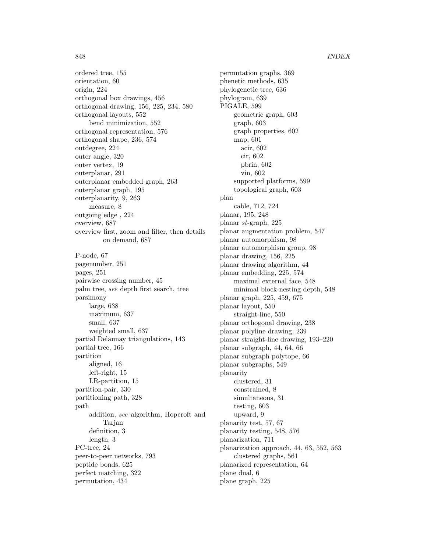ordered tree, 155 orientation, 60 origin, 224 orthogonal box drawings, 456 orthogonal drawing, 156, 225, 234, 580 orthogonal layouts, 552 bend minimization, 552 orthogonal representation, 576 orthogonal shape, 236, 574 outdegree, 224 outer angle, 320 outer vertex, 19 outerplanar, 291 outerplanar embedded graph, 263 outerplanar graph, 195 outerplanarity, 9, 263 measure, 8 outgoing edge , 224 overview, 687 overview first, zoom and filter, then details on demand, 687 P-node, 67

pagenumber, 251 pages, 251 pairwise crossing number, 45 palm tree, see depth first search, tree parsimony large, 638 maximum, 637 small, 637 weighted small, 637 partial Delaunay triangulations, 143 partial tree, 166 partition aligned, 16 left-right, 15 LR-partition, 15 partition-pair, 330 partitioning path, 328 path addition, see algorithm, Hopcroft and Tarjan definition, 3 length, 3 PC-tree, 24 peer-to-peer networks, 793 peptide bonds, 625 perfect matching, 322 permutation, 434

permutation graphs, 369 phenetic methods, 635 phylogenetic tree, 636 phylogram, 639 PIGALE, 599 geometric graph, 603 graph, 603 graph properties, 602 map, 601 acir, 602 cir, 602 pbrin, 602 vin, 602 supported platforms, 599 topological graph, 603 plan cable, 712, 724 planar, 195, 248 planar st-graph, 225 planar augmentation problem, 547 planar automorphism, 98 planar automorphism group, 98 planar drawing, 156, 225 planar drawing algorithm, 44 planar embedding, 225, 574 maximal external face, 548 minimal block-nesting depth, 548 planar graph, 225, 459, 675 planar layout, 550 straight-line, 550 planar orthogonal drawing, 238 planar polyline drawing, 239 planar straight-line drawing, 193–220 planar subgraph, 44, 64, 66 planar subgraph polytope, 66 planar subgraphs, 549 planarity clustered, 31 constrained, 8 simultaneous, 31 testing, 603 upward, 9 planarity test, 57, 67 planarity testing, 548, 576 planarization, 711 planarization approach, 44, 63, 552, 563 clustered graphs, 561 planarized representation, 64 plane dual, 6 plane graph, 225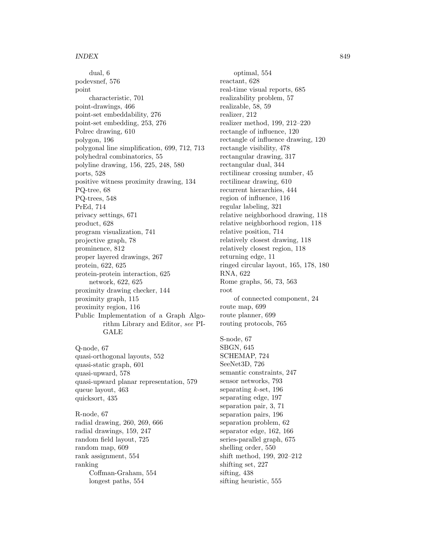dual, 6 podevsnef, 576 point characteristic, 701 point-drawings, 466 point-set embeddability, 276 point-set embedding, 253, 276 Polrec drawing, 610 polygon, 196 polygonal line simplification, 699, 712, 713 polyhedral combinatorics, 55 polyline drawing, 156, 225, 248, 580 ports, 528 positive witness proximity drawing, 134 PQ-tree, 68 PQ-trees, 548 PrEd, 714 privacy settings, 671 product, 628 program visualization, 741 projective graph, 78 prominence, 812 proper layered drawings, 267 protein, 622, 625 protein-protein interaction, 625 network, 622, 625 proximity drawing checker, 144 proximity graph, 115 proximity region, 116 Public Implementation of a Graph Algorithm Library and Editor, see PI-GALE Q-node, 67 quasi-orthogonal layouts, 552 quasi-static graph, 601 quasi-upward, 578 quasi-upward planar representation, 579 queue layout, 463 quicksort, 435 R-node, 67 radial drawing, 260, 269, 666

radial drawings, 159, 247 random field layout, 725 random map, 609 rank assignment, 554 ranking Coffman-Graham, 554 longest paths, 554

optimal, 554 reactant, 628 real-time visual reports, 685 realizability problem, 57 realizable, 58, 59 realizer, 212 realizer method, 199, 212–220 rectangle of influence, 120 rectangle of influence drawing, 120 rectangle visibility, 478 rectangular drawing, 317 rectangular dual, 344 rectilinear crossing number, 45 rectilinear drawing, 610 recurrent hierarchies, 444 region of influence, 116 regular labeling, 321 relative neighborhood drawing, 118 relative neighborhood region, 118 relative position, 714 relatively closest drawing, 118 relatively closest region, 118 returning edge, 11 ringed circular layout, 165, 178, 180 RNA, 622 Rome graphs, 56, 73, 563 root of connected component, 24 route map, 699 route planner, 699 routing protocols, 765 S-node, 67 SBGN, 645 SCHEMAP, 724 SeeNet3D, 726 semantic constraints, 247 sensor networks, 793 separating  $k$ -set, 196 separating edge, 197 separation pair, 3, 71 separation pairs, 196 separation problem, 62 separator edge, 162, 166

series-parallel graph, 675 shelling order, 550

shifting set, 227 sifting, 438

sifting heuristic, 555

shift method, 199, 202–212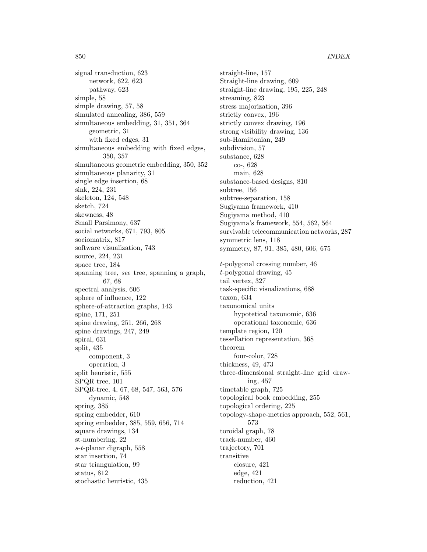signal transduction, 623 network, 622, 623 pathway, 623 simple, 58 simple drawing, 57, 58 simulated annealing, 386, 559 simultaneous embedding, 31, 351, 364 geometric, 31 with fixed edges, 31 simultaneous embedding with fixed edges, 350, 357 simultaneous geometric embedding, 350, 352 simultaneous planarity, 31 single edge insertion, 68 sink, 224, 231 skeleton, 124, 548 sketch, 724 skewness, 48 Small Parsimony, 637 social networks, 671, 793, 805 sociomatrix, 817 software visualization, 743 source, 224, 231 space tree, 184 spanning tree, see tree, spanning a graph, 67, 68 spectral analysis, 606 sphere of influence, 122 sphere-of-attraction graphs, 143 spine, 171, 251 spine drawing, 251, 266, 268 spine drawings, 247, 249 spiral, 631 split, 435 component, 3 operation, 3 split heuristic, 555 SPQR tree, 101 SPQR-tree, 4, 67, 68, 547, 563, 576 dynamic, 548 spring, 385 spring embedder, 610 spring embedder, 385, 559, 656, 714 square drawings, 134 st-numbering, 22 s-t-planar digraph, 558 star insertion, 74 star triangulation, 99 status, 812 stochastic heuristic, 435

straight-line, 157 Straight-line drawing, 609 straight-line drawing, 195, 225, 248 streaming, 823 stress majorization, 396 strictly convex, 196 strictly convex drawing, 196 strong visibility drawing, 136 sub-Hamiltonian, 249 subdivision, 57 substance, 628 co-, 628 main, 628 substance-based designs, 810 subtree, 156 subtree-separation, 158 Sugiyama framework, 410 Sugiyama method, 410 Sugiyama's framework, 554, 562, 564 survivable telecommunication networks, 287 symmetric lens, 118 symmetry, 87, 91, 385, 480, 606, 675 t-polygonal crossing number, 46 t-polygonal drawing, 45 tail vertex, 327 task-specific visualizations, 688 taxon, 634 taxonomical units hypotetical taxonomic, 636 operational taxonomic, 636 template region, 120 tessellation representation, 368 theorem four-color, 728 thickness, 49, 473 three-dimensional straight-line grid drawing, 457 timetable graph, 725 topological book embedding, 255 topological ordering, 225 topology-shape-metrics approach, 552, 561, 573 toroidal graph, 78 track-number, 460 trajectory, 701 transitive closure, 421 edge, 421 reduction, 421